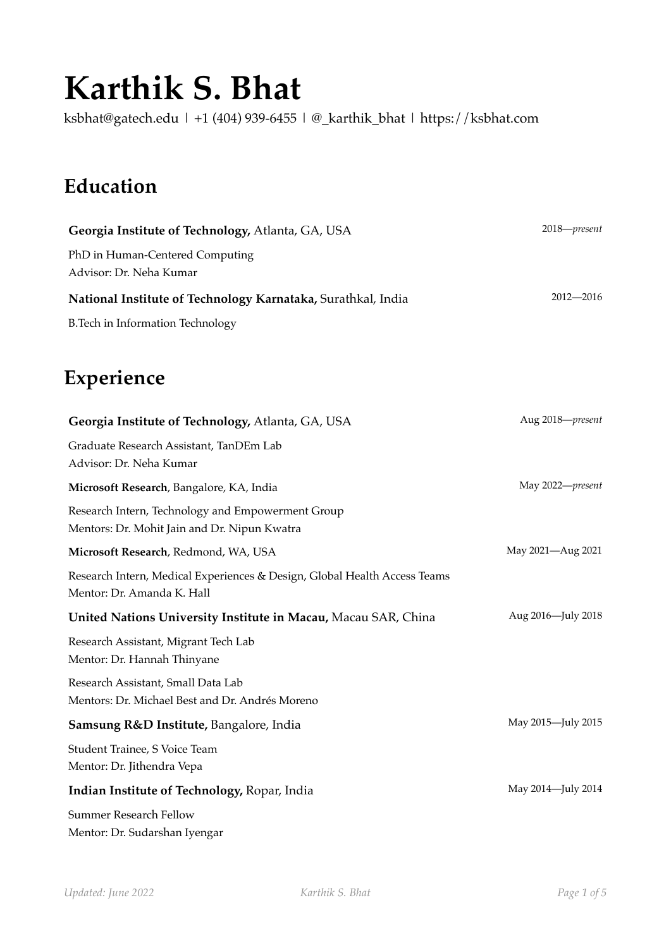# **Karthik S. Bhat**

[ksbhat@gatech.edu](mailto:ksbhat@gatech.edu) | +1 (404) 939-6455 | [@\\_karthik\\_bhat](https://twitter.com/_karthik_bhat) | <https://ksbhat.com>

# **Education**

| Georgia Institute of Technology, Atlanta, GA, USA            | $2018$ — $present$ |
|--------------------------------------------------------------|--------------------|
| PhD in Human-Centered Computing<br>Advisor: Dr. Neha Kumar   |                    |
| National Institute of Technology Karnataka, Surathkal, India | $2012 - 2016$      |
| B. Tech in Information Technology                            |                    |

## **Experience**

| Georgia Institute of Technology, Atlanta, GA, USA                                                       | Aug 2018-present   |
|---------------------------------------------------------------------------------------------------------|--------------------|
| Graduate Research Assistant, TanDEm Lab<br>Advisor: Dr. Neha Kumar                                      |                    |
| Microsoft Research, Bangalore, KA, India                                                                | May 2022-present   |
| Research Intern, Technology and Empowerment Group<br>Mentors: Dr. Mohit Jain and Dr. Nipun Kwatra       |                    |
| Microsoft Research, Redmond, WA, USA                                                                    | May 2021-Aug 2021  |
| Research Intern, Medical Experiences & Design, Global Health Access Teams<br>Mentor: Dr. Amanda K. Hall |                    |
| United Nations University Institute in Macau, Macau SAR, China                                          | Aug 2016-July 2018 |
| Research Assistant, Migrant Tech Lab<br>Mentor: Dr. Hannah Thinyane                                     |                    |
| Research Assistant, Small Data Lab<br>Mentors: Dr. Michael Best and Dr. Andrés Moreno                   |                    |
| Samsung R&D Institute, Bangalore, India                                                                 | May 2015-July 2015 |
| Student Trainee, S Voice Team<br>Mentor: Dr. Jithendra Vepa                                             |                    |
| Indian Institute of Technology, Ropar, India                                                            | May 2014-July 2014 |
| <b>Summer Research Fellow</b><br>Mentor: Dr. Sudarshan Iyengar                                          |                    |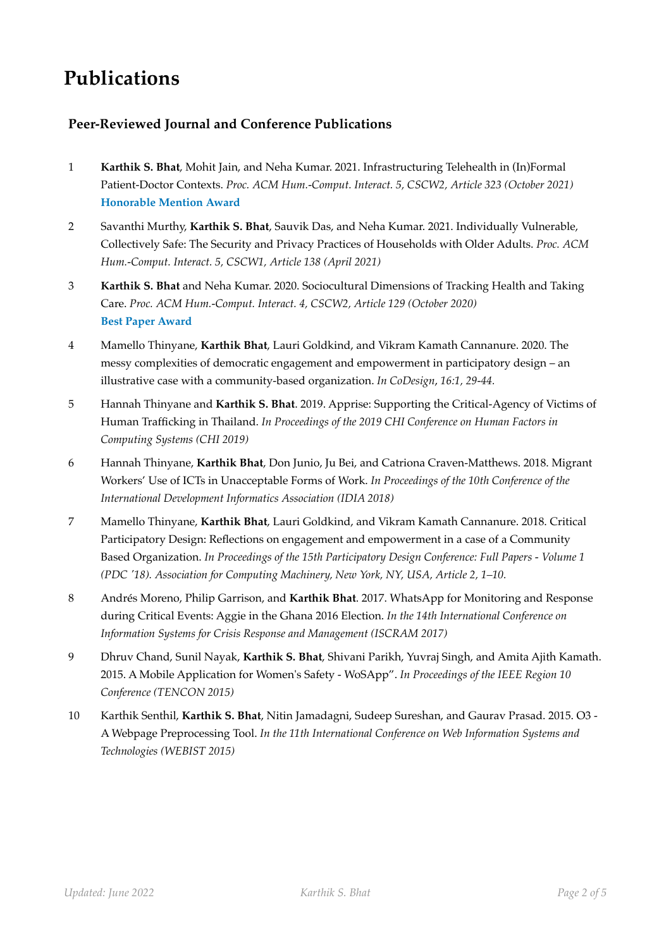# **Publications**

#### **Peer-Reviewed Journal and Conference Publications**

- 1 **Karthik S. Bhat**, Mohit Jain, and Neha Kumar. 2021. Infrastructuring Telehealth in (In)Formal Patient-Doctor Contexts. *Proc. ACM Hum.-Comput. Interact. 5, CSCW2, Article 323 (October 2021)* **Honorable Mention Award**
- 2 Savanthi Murthy, **Karthik S. Bhat**, Sauvik Das, and Neha Kumar. 2021. Individually Vulnerable, Collectively Safe: The Security and Privacy Practices of Households with Older Adults. *Proc. ACM Hum.-Comput. Interact. 5, CSCW1, Article 138 (April 2021)*
- 3 **Karthik S. Bhat** and Neha Kumar. 2020. Sociocultural Dimensions of Tracking Health and Taking Care. *Proc. ACM Hum.-Comput. Interact. 4, CSCW2, Article 129 (October 2020)* **Best Paper Award**
- 4 Mamello Thinyane, **Karthik Bhat**, Lauri Goldkind, and Vikram Kamath Cannanure. 2020. The messy complexities of democratic engagement and empowerment in participatory design – an illustrative case with a community-based organization. *In CoDesign*, *16:1, 29-44.*
- 5 Hannah Thinyane and **Karthik S. Bhat**. 2019. Apprise: Supporting the Critical-Agency of Victims of Human Trafficking in Thailand. *In Proceedings of the 2019 CHI Conference on Human Factors in Computing Systems (CHI 2019)*
- 6 Hannah Thinyane, **Karthik Bhat**, Don Junio, Ju Bei, and Catriona Craven-Matthews. 2018. Migrant Workers' Use of ICTs in Unacceptable Forms of Work. *In Proceedings of the 10th Conference of the International Development Informatics Association (IDIA 2018)*
- 7 Mamello Thinyane, **Karthik Bhat**, Lauri Goldkind, and Vikram Kamath Cannanure. 2018. Critical Participatory Design: Reflections on engagement and empowerment in a case of a Community Based Organization. *In Proceedings of the 15th Participatory Design Conference: Full Papers - Volume 1 (PDC '18). Association for Computing Machinery, New York, NY, USA, Article 2, 1–10.*
- 8 Andrés Moreno, Philip Garrison, and **Karthik Bhat**. 2017. WhatsApp for Monitoring and Response during Critical Events: Aggie in the Ghana 2016 Election. *In the 14th International Conference on Information Systems for Crisis Response and Management (ISCRAM 2017)*
- 9 Dhruv Chand, Sunil Nayak, **Karthik S. Bhat**, Shivani Parikh, Yuvraj Singh, and Amita Ajith Kamath. 2015. A Mobile Application for Women's Safety - WoSApp". *In Proceedings of the IEEE Region 10 Conference (TENCON 2015)*
- 10 Karthik Senthil, **Karthik S. Bhat**, Nitin Jamadagni, Sudeep Sureshan, and Gaurav Prasad. 2015. O3 A Webpage Preprocessing Tool. *In the 11th International Conference on Web Information Systems and Technologies (WEBIST 2015)*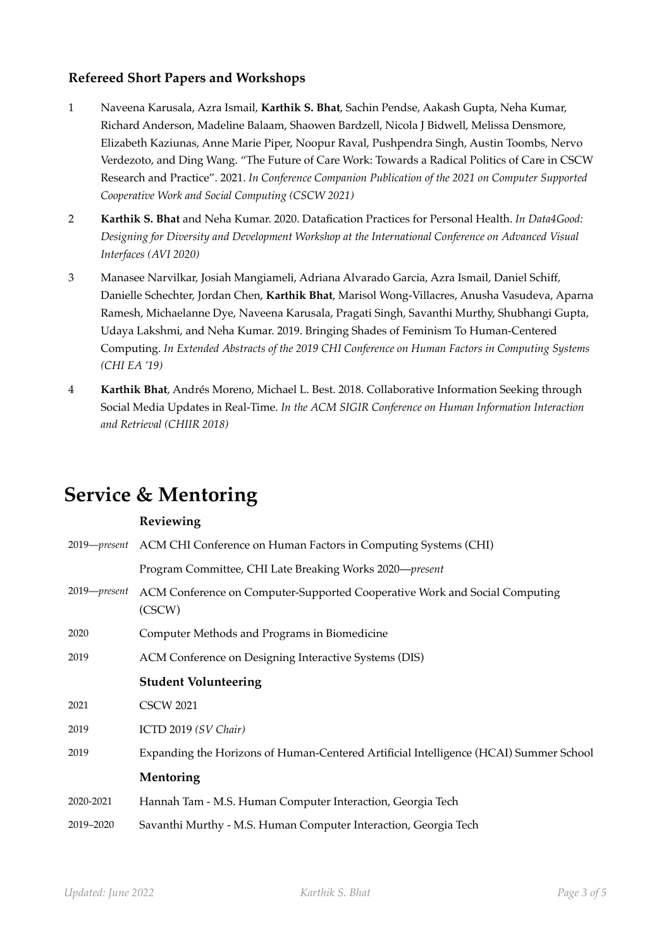#### **Refereed Short Papers and Workshops**

- 1 Naveena Karusala, Azra Ismail, **Karthik S. Bhat**, Sachin Pendse, Aakash Gupta, Neha Kumar, Richard Anderson, Madeline Balaam, Shaowen Bardzell, Nicola J Bidwell, Melissa Densmore, Elizabeth Kaziunas, Anne Marie Piper, Noopur Raval, Pushpendra Singh, Austin Toombs, Nervo Verdezoto, and Ding Wang. "The Future of Care Work: Towards a Radical Politics of Care in CSCW Research and Practice". 2021. *In Conference Companion Publication of the 2021 on Computer Supported Cooperative Work and Social Computing (CSCW 2021)*
- 2 **Karthik S. Bhat** and Neha Kumar. 2020. Datafication Practices for Personal Health. *In Data4Good: Designing for Diversity and Development Workshop at the International Conference on Advanced Visual Interfaces (AVI 2020)*
- 3 Manasee Narvilkar, Josiah Mangiameli, Adriana Alvarado Garcia, Azra Ismail, Daniel Schiff, Danielle Schechter, Jordan Chen, **Karthik Bhat**, Marisol Wong-Villacres, Anusha Vasudeva, Aparna Ramesh, Michaelanne Dye, Naveena Karusala, Pragati Singh, Savanthi Murthy, Shubhangi Gupta, Udaya Lakshmi, and Neha Kumar. 2019. Bringing Shades of Feminism To Human-Centered Computing. *In Extended Abstracts of the 2019 CHI Conference on Human Factors in Computing Systems (CHI EA '19)*
- 4 **Karthik Bhat**, Andrés Moreno, Michael L. Best. 2018. Collaborative Information Seeking through Social Media Updates in Real-Time. *In the ACM SIGIR Conference on Human Information Interaction and Retrieval (CHIIR 2018)*

### **Service & Mentoring**

#### **Reviewing**

|              | 2019— <i>present</i> ACM CHI Conference on Human Factors in Computing Systems (CHI)   |
|--------------|---------------------------------------------------------------------------------------|
|              | Program Committee, CHI Late Breaking Works 2020—present                               |
| 2019—present | ACM Conference on Computer-Supported Cooperative Work and Social Computing<br>(CSCW)  |
| 2020         | Computer Methods and Programs in Biomedicine                                          |
| 2019         | ACM Conference on Designing Interactive Systems (DIS)                                 |
|              | <b>Student Volunteering</b>                                                           |
| 2021         | <b>CSCW 2021</b>                                                                      |
| 2019         | ICTD 2019 (SV Chair)                                                                  |
| 2019         | Expanding the Horizons of Human-Centered Artificial Intelligence (HCAI) Summer School |
|              | Mentoring                                                                             |
| 2020-2021    | Hannah Tam - M.S. Human Computer Interaction, Georgia Tech                            |
| 2019-2020    | Savanthi Murthy - M.S. Human Computer Interaction, Georgia Tech                       |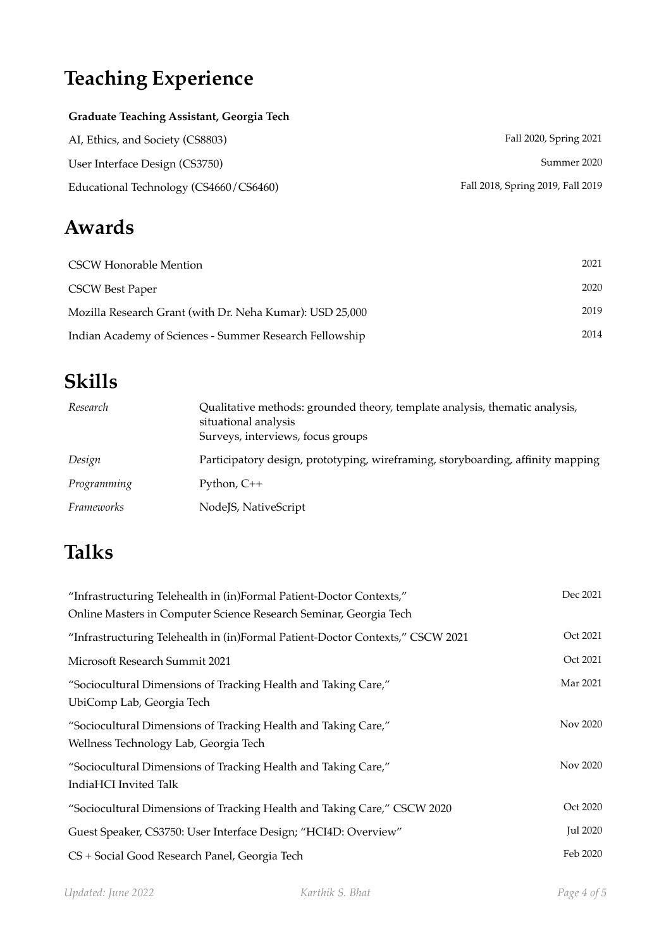# **Teaching Experience**

#### **Graduate Teaching Assistant, Georgia Tech**

| AI, Ethics, and Society (CS8803)       | Fall 2020, Spring 2021            |
|----------------------------------------|-----------------------------------|
| User Interface Design (CS3750)         | Summer 2020                       |
| Educational Technology (CS4660/CS6460) | Fall 2018, Spring 2019, Fall 2019 |

# **Awards**

| <b>CSCW Honorable Mention</b>                            | 2021 |
|----------------------------------------------------------|------|
| <b>CSCW Best Paper</b>                                   | 2020 |
| Mozilla Research Grant (with Dr. Neha Kumar): USD 25,000 | 2019 |
| Indian Academy of Sciences - Summer Research Fellowship  | 2014 |

# **Skills**

| Research          | Qualitative methods: grounded theory, template analysis, thematic analysis,<br>situational analysis<br>Surveys, interviews, focus groups |
|-------------------|------------------------------------------------------------------------------------------------------------------------------------------|
| Design            | Participatory design, prototyping, wireframing, storyboarding, affinity mapping                                                          |
| Programming       | Python, $C++$                                                                                                                            |
| <i>Frameworks</i> | NodeJS, NativeScript                                                                                                                     |

# **Talks**

| "Infrastructuring Telehealth in (in)Formal Patient-Doctor Contexts,"<br>Online Masters in Computer Science Research Seminar, Georgia Tech | Dec 2021        |
|-------------------------------------------------------------------------------------------------------------------------------------------|-----------------|
| "Infrastructuring Telehealth in (in)Formal Patient-Doctor Contexts," CSCW 2021                                                            | Oct 2021        |
| Microsoft Research Summit 2021                                                                                                            | Oct 2021        |
| "Sociocultural Dimensions of Tracking Health and Taking Care,"<br>UbiComp Lab, Georgia Tech                                               | Mar 2021        |
| "Sociocultural Dimensions of Tracking Health and Taking Care,"<br>Wellness Technology Lab, Georgia Tech                                   | Nov 2020        |
| "Sociocultural Dimensions of Tracking Health and Taking Care,"<br>IndiaHCI Invited Talk                                                   | Nov 2020        |
| "Sociocultural Dimensions of Tracking Health and Taking Care," CSCW 2020                                                                  | Oct 2020        |
| Guest Speaker, CS3750: User Interface Design; "HCI4D: Overview"                                                                           | <b>Jul 2020</b> |
| CS + Social Good Research Panel, Georgia Tech                                                                                             | Feb 2020        |